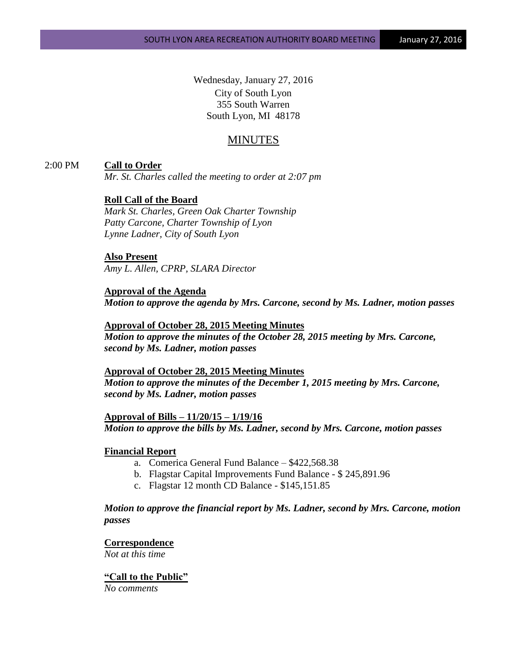Wednesday, January 27, 2016 City of South Lyon 355 South Warren South Lyon, MI 48178

# MINUTES

# 2:00 PM **Call to Order**

*Mr. St. Charles called the meeting to order at 2:07 pm*

# **Roll Call of the Board**

*Mark St. Charles, Green Oak Charter Township Patty Carcone, Charter Township of Lyon Lynne Ladner, City of South Lyon* 

# **Also Present**

*Amy L. Allen, CPRP, SLARA Director*

# **Approval of the Agenda** *Motion to approve the agenda by Mrs. Carcone, second by Ms. Ladner, motion passes*

# **Approval of October 28, 2015 Meeting Minutes**

*Motion to approve the minutes of the October 28, 2015 meeting by Mrs. Carcone, second by Ms. Ladner, motion passes*

#### **Approval of October 28, 2015 Meeting Minutes**

*Motion to approve the minutes of the December 1, 2015 meeting by Mrs. Carcone, second by Ms. Ladner, motion passes*

**Approval of Bills – 11/20/15 – 1/19/16** *Motion to approve the bills by Ms. Ladner, second by Mrs. Carcone, motion passes*

### **Financial Report**

- a. Comerica General Fund Balance \$422,568.38
- b. Flagstar Capital Improvements Fund Balance \$ 245,891.96
- c. Flagstar 12 month CD Balance \$145,151.85

*Motion to approve the financial report by Ms. Ladner, second by Mrs. Carcone, motion passes*

# **Correspondence**

*Not at this time*

#### **"Call to the Public"** *No comments*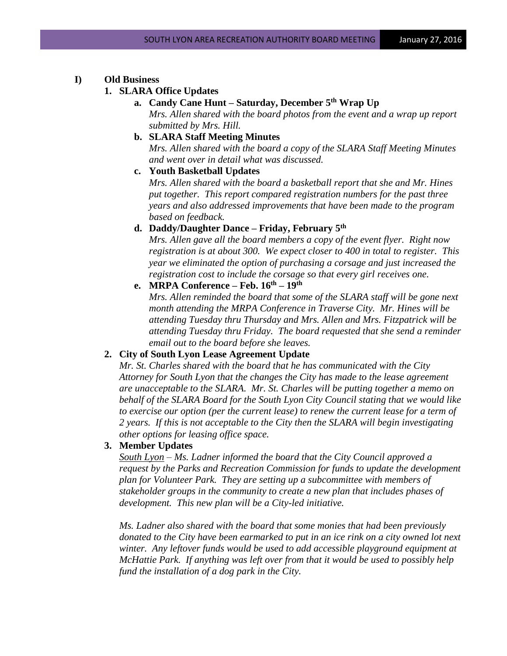### **I) Old Business**

# **1. SLARA Office Updates**

- **a. Candy Cane Hunt – Saturday, December 5th Wrap Up** *Mrs. Allen shared with the board photos from the event and a wrap up report submitted by Mrs. Hill.*
- **b. SLARA Staff Meeting Minutes**

*Mrs. Allen shared with the board a copy of the SLARA Staff Meeting Minutes and went over in detail what was discussed.*

**c. Youth Basketball Updates**

*Mrs. Allen shared with the board a basketball report that she and Mr. Hines put together. This report compared registration numbers for the past three years and also addressed improvements that have been made to the program based on feedback.*

**d. Daddy/Daughter Dance – Friday, February 5th**

*Mrs. Allen gave all the board members a copy of the event flyer. Right now registration is at about 300. We expect closer to 400 in total to register. This year we eliminated the option of purchasing a corsage and just increased the registration cost to include the corsage so that every girl receives one.*

**e. MRPA Conference – Feb. 16th – 19th**

*Mrs. Allen reminded the board that some of the SLARA staff will be gone next month attending the MRPA Conference in Traverse City. Mr. Hines will be attending Tuesday thru Thursday and Mrs. Allen and Mrs. Fitzpatrick will be attending Tuesday thru Friday. The board requested that she send a reminder email out to the board before she leaves.*

#### **2. City of South Lyon Lease Agreement Update**

*Mr. St. Charles shared with the board that he has communicated with the City Attorney for South Lyon that the changes the City has made to the lease agreement are unacceptable to the SLARA. Mr. St. Charles will be putting together a memo on behalf of the SLARA Board for the South Lyon City Council stating that we would like to exercise our option (per the current lease) to renew the current lease for a term of 2 years. If this is not acceptable to the City then the SLARA will begin investigating other options for leasing office space.*

#### **3. Member Updates**

*South Lyon – Ms. Ladner informed the board that the City Council approved a request by the Parks and Recreation Commission for funds to update the development plan for Volunteer Park. They are setting up a subcommittee with members of stakeholder groups in the community to create a new plan that includes phases of development. This new plan will be a City-led initiative.* 

*Ms. Ladner also shared with the board that some monies that had been previously donated to the City have been earmarked to put in an ice rink on a city owned lot next winter. Any leftover funds would be used to add accessible playground equipment at McHattie Park. If anything was left over from that it would be used to possibly help fund the installation of a dog park in the City.*